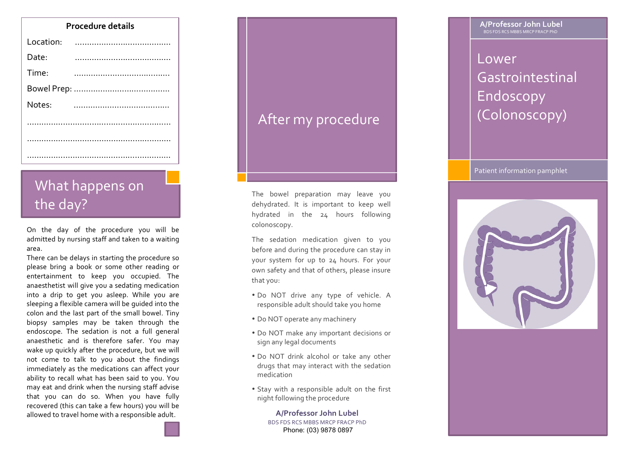| <b>Procedure details</b> |                    |  | A/Professor John Lub<br>BDS FDS RCS MBBS MRCP FRACP PhD |
|--------------------------|--------------------|--|---------------------------------------------------------|
| Location:                |                    |  |                                                         |
| Date:                    |                    |  | Lower                                                   |
| Time:                    |                    |  | Gastrointesti                                           |
|                          |                    |  | Endoscopy                                               |
| Notes:                   |                    |  | (Colonoscop                                             |
|                          | After my procedure |  |                                                         |
|                          |                    |  |                                                         |
|                          |                    |  |                                                         |

## What happens on the day?

On the day of the procedure you will be admitted by nursing staff and taken to a waiting area. 

There can be delays in starting the procedure so please bring a book or some other reading or entertainment to keep you occupied. The anaesthetist will give you a sedating medication into a drip to get you asleep. While you are sleeping a flexible camera will be quided into the colon and the last part of the small bowel. Tiny biopsy samples may be taken through the endoscope. The sedation is not a full general anaesthetic and is therefore safer. You may wake up quickly after the procedure, but we will not come to talk to you about the findings immediately as the medications can affect your ability to recall what has been said to you. You may eat and drink when the nursing staff advise that you can do so. When you have fully recovered (this can take a few hours) you will be allowed to travel home with a responsible adult.

### After my procedure

The bowel preparation may leave you dehydrated. It is important to keep well hydrated in the 24 hours following colonoscopy. 

The sedation medication given to you before and during the procedure can stay in your system for up to 24 hours. For your own safety and that of others, please insure that you:

- Do NOT drive any type of vehicle. A responsible adult should take you home
- Do NOT operate any machinery
- Do NOT make any important decisions or sign any legal documents
- Do NOT drink alcohol or take any other drugs that may interact with the sedation medication
- Stay with a responsible adult on the first night following the procedure

**A/Professor John Lubel** BDS FDS RCS MBBS MRCP FRACP PhD Phone: (03) 9878 0897

**A/Professor John Lubel** 

# Lower Gastrointestinal Endoscopy (Colonoscopy)

### Patient information pamphlet